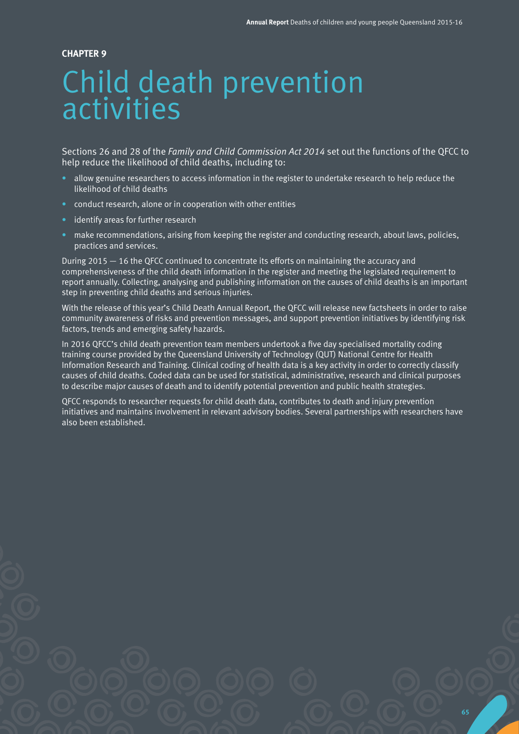#### **CHAPTER 9**

# Child death prevention activities

Sections 26 and 28 of the *Family and Child Commission Act 2014* set out the functions of the QFCC to help reduce the likelihood of child deaths, including to:

- allow genuine researchers to access information in the register to undertake research to help reduce the likelihood of child deaths
- conduct research, alone or in cooperation with other entities
- identify areas for further research
- make recommendations, arising from keeping the register and conducting research, about laws, policies, practices and services.

During 2015 — 16 the QFCC continued to concentrate its efforts on maintaining the accuracy and comprehensiveness of the child death information in the register and meeting the legislated requirement to report annually. Collecting, analysing and publishing information on the causes of child deaths is an important step in preventing child deaths and serious injuries.

With the release of this year's Child Death Annual Report, the QFCC will release new factsheets in order to raise community awareness of risks and prevention messages, and support prevention initiatives by identifying risk factors, trends and emerging safety hazards.

In 2016 QFCC's child death prevention team members undertook a five day specialised mortality coding training course provided by the Queensland University of Technology (QUT) National Centre for Health Information Research and Training. Clinical coding of health data is a key activity in order to correctly classify causes of child deaths. Coded data can be used for statistical, administrative, research and clinical purposes to describe major causes of death and to identify potential prevention and public health strategies.

QFCC responds to researcher requests for child death data, contributes to death and injury prevention initiatives and maintains involvement in relevant advisory bodies. Several partnerships with researchers have also been established.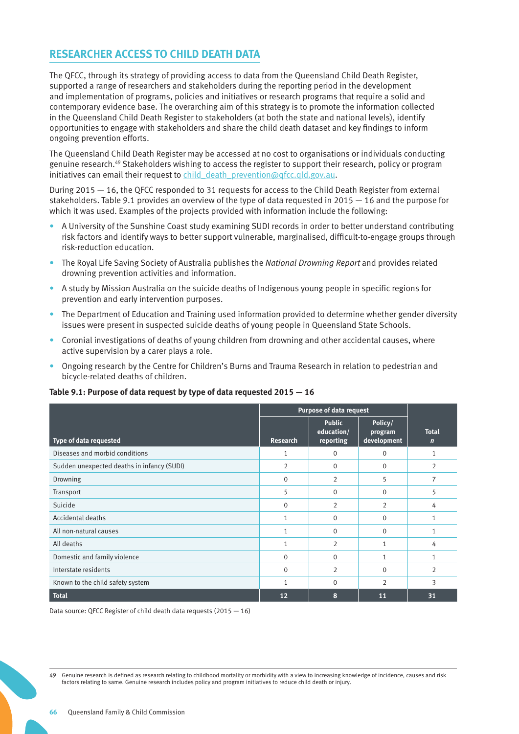# **RESEARCHER ACCESS TO CHILD DEATH DATA**

The QFCC, through its strategy of providing access to data from the Queensland Child Death Register, supported a range of researchers and stakeholders during the reporting period in the development and implementation of programs, policies and initiatives or research programs that require a solid and contemporary evidence base. The overarching aim of this strategy is to promote the information collected in the Queensland Child Death Register to stakeholders (at both the state and national levels), identify opportunities to engage with stakeholders and share the child death dataset and key findings to inform ongoing prevention efforts.

The Queensland Child Death Register may be accessed at no cost to organisations or individuals conducting genuine research.49 Stakeholders wishing to access the register to support their research, policy or program initiatives can email their request to [child\\_death\\_prevention@qfcc.qld.gov.au](mailto:child_death_prevention@qfcc.qld.gov.au).

During 2015 — 16, the QFCC responded to 31 requests for access to the Child Death Register from external stakeholders. Table 9.1 provides an overview of the type of data requested in 2015 — 16 and the purpose for which it was used. Examples of the projects provided with information include the following:

- A University of the Sunshine Coast study examining SUDI records in order to better understand contributing risk factors and identify ways to better support vulnerable, marginalised, difficult-to-engage groups through risk-reduction education.
- The Royal Life Saving Society of Australia publishes the *National Drowning Report* and provides related drowning prevention activities and information.
- A study by Mission Australia on the suicide deaths of Indigenous young people in specific regions for prevention and early intervention purposes.
- The Department of Education and Training used information provided to determine whether gender diversity issues were present in suspected suicide deaths of young people in Queensland State Schools.
- Coronial investigations of deaths of young children from drowning and other accidental causes, where active supervision by a carer plays a role.
- Ongoing research by the Centre for Children's Burns and Trauma Research in relation to pedestrian and bicycle-related deaths of children.

#### **Table 9.1: Purpose of data request by type of data requested 2015 — 16**

|                                            | <b>Purpose of data request</b> |                                          |                                   |                             |
|--------------------------------------------|--------------------------------|------------------------------------------|-----------------------------------|-----------------------------|
| Type of data requested                     | <b>Research</b>                | <b>Public</b><br>education/<br>reporting | Policy/<br>program<br>development | <b>Total</b><br>$\mathbf n$ |
| Diseases and morbid conditions             | 1                              | 0                                        | $\mathbf 0$                       | 1                           |
| Sudden unexpected deaths in infancy (SUDI) | $\overline{2}$                 | $\mathbf{0}$                             | $\Omega$                          | $\overline{2}$              |
| Drowning                                   | $\Omega$                       | 2                                        | 5                                 | 7                           |
| Transport                                  | 5                              | $\Omega$                                 | $\Omega$                          | 5                           |
| Suicide                                    | $\Omega$                       | 2                                        | $\overline{2}$                    | 4                           |
| Accidental deaths                          | 1                              | $\Omega$                                 | $\Omega$                          | 1                           |
| All non-natural causes                     | 1                              | $\mathbf{0}$                             | $\Omega$                          | 1                           |
| All deaths                                 | 1                              | $\overline{2}$                           | 1                                 | 4                           |
| Domestic and family violence               | $\Omega$                       | $\Omega$                                 |                                   | 1                           |
| Interstate residents                       | $\Omega$                       | 2                                        | $\Omega$                          | $\overline{2}$              |
| Known to the child safety system           | 1                              | $\Omega$                                 | $\overline{2}$                    | 3                           |
| <b>Total</b>                               | 12                             | 8                                        | 11                                | 31                          |

Data source: QFCC Register of child death data requests (2015 — 16)

49 Genuine research is defined as research relating to childhood mortality or morbidity with a view to increasing knowledge of incidence, causes and risk factors relating to same. Genuine research includes policy and program initiatives to reduce child death or injury.